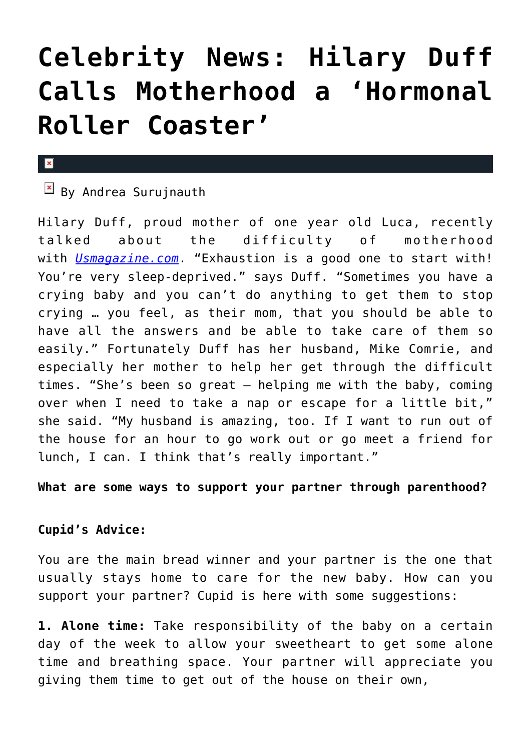# **[Celebrity News: Hilary Duff](https://cupidspulse.com/49524/hilary-duff-calls-motherhood-hormonal-roller-coaster/) [Calls Motherhood a 'Hormonal](https://cupidspulse.com/49524/hilary-duff-calls-motherhood-hormonal-roller-coaster/) [Roller Coaster'](https://cupidspulse.com/49524/hilary-duff-calls-motherhood-hormonal-roller-coaster/)**

#### $\mathbf{x}$

## $\boxed{\times}$  By Andrea Surujnauth

Hilary Duff, proud mother of one year old Luca, recently talked about the difficulty of motherhood with *[Usmagazine.com](http://www.usmagazine.com/celebrity-moms/news/hilary-duffs-motherhood-struggles-sleep-deprived-hormonal-roller-coaster-2013125)*. "Exhaustion is a good one to start with! You're very sleep-deprived." says Duff. "Sometimes you have a crying baby and you can't do anything to get them to stop crying … you feel, as their mom, that you should be able to have all the answers and be able to take care of them so easily." Fortunately Duff has her husband, Mike Comrie, and especially her mother to help her get through the difficult times. "She's been so great — helping me with the baby, coming over when I need to take a nap or escape for a little bit," she said. "My husband is amazing, too. If I want to run out of the house for an hour to go work out or go meet a friend for lunch, I can. I think that's really important."

### **What are some ways to support your partner through parenthood?**

## **Cupid's Advice:**

You are the main bread winner and your partner is the one that usually stays home to care for the new baby. How can you support your partner? Cupid is here with some suggestions:

**1. Alone time:** Take responsibility of the baby on a certain day of the week to allow your sweetheart to get some alone time and breathing space. Your partner will appreciate you giving them time to get out of the house on their own,